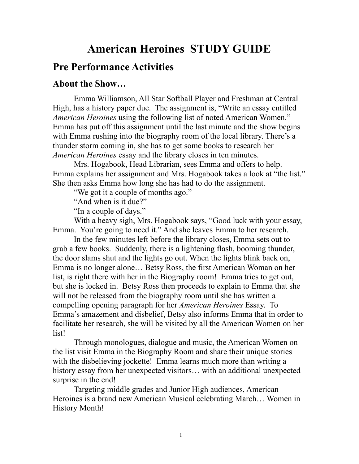## **American Heroines STUDY GUIDE**

## **Pre Performance Activities**

#### **About the Show…**

Emma Williamson, All Star Softball Player and Freshman at Central High, has a history paper due. The assignment is, "Write an essay entitled *American Heroines* using the following list of noted American Women." Emma has put off this assignment until the last minute and the show begins with Emma rushing into the biography room of the local library. There's a thunder storm coming in, she has to get some books to research her *American Heroines* essay and the library closes in ten minutes.

 Mrs. Hogabook, Head Librarian, sees Emma and offers to help. Emma explains her assignment and Mrs. Hogabook takes a look at "the list." She then asks Emma how long she has had to do the assignment.

"We got it a couple of months ago."

"And when is it due?"

"In a couple of days."

 With a heavy sigh, Mrs. Hogabook says, "Good luck with your essay, Emma. You're going to need it." And she leaves Emma to her research.

 In the few minutes left before the library closes, Emma sets out to grab a few books. Suddenly, there is a lightening flash, booming thunder, the door slams shut and the lights go out. When the lights blink back on, Emma is no longer alone… Betsy Ross, the first American Woman on her list, is right there with her in the Biography room! Emma tries to get out, but she is locked in. Betsy Ross then proceeds to explain to Emma that she will not be released from the biography room until she has written a compelling opening paragraph for her *American Heroines* Essay. To Emma's amazement and disbelief, Betsy also informs Emma that in order to facilitate her research, she will be visited by all the American Women on her list!

 Through monologues, dialogue and music, the American Women on the list visit Emma in the Biography Room and share their unique stories with the disbelieving jockette! Emma learns much more than writing a history essay from her unexpected visitors… with an additional unexpected surprise in the end!

 Targeting middle grades and Junior High audiences, American Heroines is a brand new American Musical celebrating March… Women in History Month!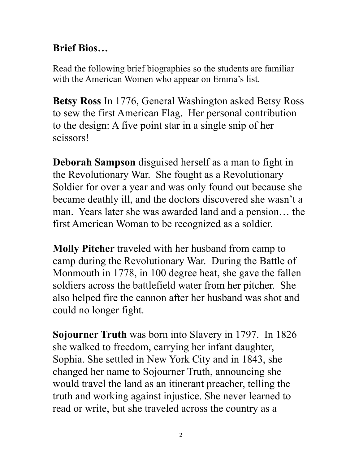# **Brief Bios…**

Read the following brief biographies so the students are familiar with the American Women who appear on Emma's list.

**Betsy Ross** In 1776, General Washington asked Betsy Ross to sew the first American Flag. Her personal contribution to the design: A five point star in a single snip of her scissors!

**Deborah Sampson** disguised herself as a man to fight in the Revolutionary War. She fought as a Revolutionary Soldier for over a year and was only found out because she became deathly ill, and the doctors discovered she wasn't a man. Years later she was awarded land and a pension... the first American Woman to be recognized as a soldier.

**Molly Pitcher** traveled with her husband from camp to camp during the Revolutionary War. During the Battle of Monmouth in 1778, in 100 degree heat, she gave the fallen soldiers across the battlefield water from her pitcher. She also helped fire the cannon after her husband was shot and could no longer fight.

**Sojourner Truth** was born into Slavery in 1797. In 1826 she walked to freedom, carrying her infant daughter, Sophia. She settled in New York City and in 1843, she changed her name to Sojourner Truth, announcing she would travel the land as an itinerant preacher, telling the truth and working against injustice. She never learned to read or write, but she traveled across the country as a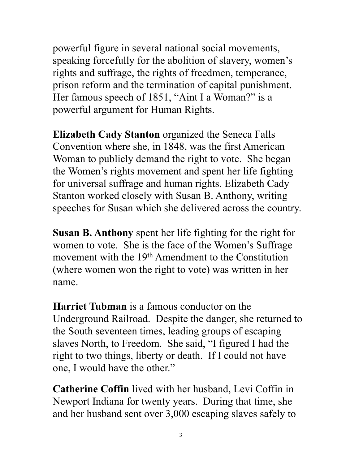powerful figure in several national social movements, speaking forcefully for the abolition of slavery, women's rights and suffrage, the rights of freedmen, temperance, prison reform and the termination of capital punishment. Her famous speech of 1851, "Aint I a Woman?" is a powerful argument for Human Rights.

**Elizabeth Cady Stanton** organized the Seneca Falls Convention where she, in 1848, was the first American Woman to publicly demand the right to vote. She began the Women's rights movement and spent her life fighting for universal suffrage and human rights. Elizabeth Cady Stanton worked closely with Susan B. Anthony, writing speeches for Susan which she delivered across the country.

**Susan B. Anthony** spent her life fighting for the right for women to vote. She is the face of the Women's Suffrage movement with the 19<sup>th</sup> Amendment to the Constitution (where women won the right to vote) was written in her name.

**Harriet Tubman** is a famous conductor on the Underground Railroad. Despite the danger, she returned to the South seventeen times, leading groups of escaping slaves North, to Freedom. She said, "I figured I had the right to two things, liberty or death. If I could not have one, I would have the other."

**Catherine Coffin** lived with her husband, Levi Coffin in Newport Indiana for twenty years. During that time, she and her husband sent over 3,000 escaping slaves safely to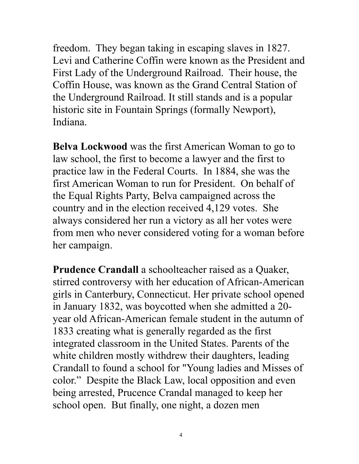freedom. They began taking in escaping slaves in 1827. Levi and Catherine Coffin were known as the President and First Lady of the Underground Railroad. Their house, the Coffin House, was known as the Grand Central Station of the Underground Railroad. It still stands and is a popular historic site in Fountain Springs (formally Newport), Indiana.

**Belva Lockwood** was the first American Woman to go to law school, the first to become a lawyer and the first to practice law in the Federal Courts. In 1884, she was the first American Woman to run for President. On behalf of the Equal Rights Party, Belva campaigned across the country and in the election received 4,129 votes. She always considered her run a victory as all her votes were from men who never considered voting for a woman before her campaign.

**Prudence Crandall** a schoolteacher raised as a Quaker, stirred controversy with her education of African-American girls in Canterbury, Connecticut. Her private school opened in January 1832, was boycotted when she admitted a 20 year old African-American female student in the autumn of 1833 creating what is generally regarded as the first integrated classroom in the United States. Parents of the white children mostly withdrew their daughters, leading Crandall to found a school for "Young ladies and Misses of color." Despite the Black Law, local opposition and even being arrested, Prucence Crandal managed to keep her school open. But finally, one night, a dozen men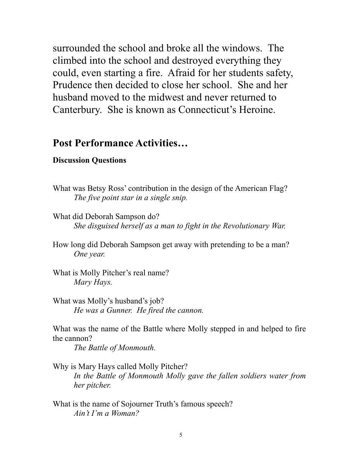surrounded the school and broke all the windows. The climbed into the school and destroyed everything they could, even starting a fire. Afraid for her students safety, Prudence then decided to close her school. She and her husband moved to the midwest and never returned to Canterbury. She is known as Connecticut's Heroine.

## **Post Performance Activities…**

#### **Discussion Questions**

- What was Betsy Ross' contribution in the design of the American Flag? *The five point star in a single snip.*
- What did Deborah Sampson do? *She disguised herself as a man to fight in the Revolutionary War.*
- How long did Deborah Sampson get away with pretending to be a man? *One year.*
- What is Molly Pitcher's real name? *Mary Hays.*
- What was Molly's husband's job? *He was a Gunner. He fired the cannon.*

What was the name of the Battle where Molly stepped in and helped to fire the cannon?

*The Battle of Monmouth.*

- Why is Mary Hays called Molly Pitcher? *In the Battle of Monmouth Molly gave the fallen soldiers water from her pitcher.*
- What is the name of Sojourner Truth's famous speech? *Ain't I'm a Woman?*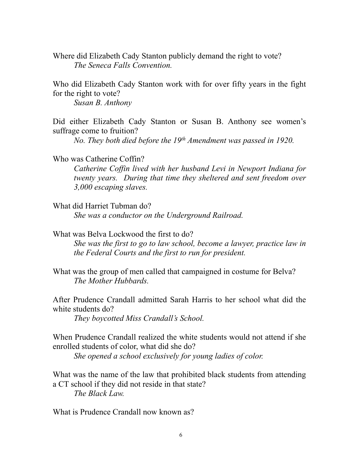Where did Elizabeth Cady Stanton publicly demand the right to vote? *The Seneca Falls Convention.*

Who did Elizabeth Cady Stanton work with for over fifty years in the fight for the right to vote?

*Susan B. Anthony*

Did either Elizabeth Cady Stanton or Susan B. Anthony see women's suffrage come to fruition?

*No. They both died before the 19th Amendment was passed in 1920.*

Who was Catherine Coffin?

*Catherine Coffin lived with her husband Levi in Newport Indiana for twenty years. During that time they sheltered and sent freedom over 3,000 escaping slaves.*

What did Harriet Tubman do?

*She was a conductor on the Underground Railroad.*

What was Belva Lockwood the first to do?

*She was the first to go to law school, become a lawyer, practice law in the Federal Courts and the first to run for president.*

What was the group of men called that campaigned in costume for Belva? *The Mother Hubbards.*

After Prudence Crandall admitted Sarah Harris to her school what did the white students do?

*They boycotted Miss Crandall's School.*

When Prudence Crandall realized the white students would not attend if she enrolled students of color, what did she do?

*She opened a school exclusively for young ladies of color.*

What was the name of the law that prohibited black students from attending a CT school if they did not reside in that state? *The Black Law.*

What is Prudence Crandall now known as?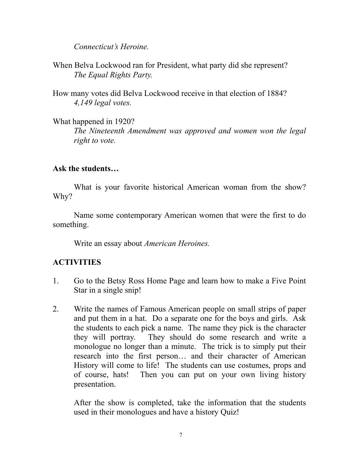*Connecticut's Heroine.*

When Belva Lockwood ran for President, what party did she represent? *The Equal Rights Party.*

How many votes did Belva Lockwood receive in that election of 1884? *4,149 legal votes.*

What happened in 1920? *The Nineteenth Amendment was approved and women won the legal right to vote.*

### **Ask the students…**

What is your favorite historical American woman from the show? Why?

 Name some contemporary American women that were the first to do something.

Write an essay about *American Heroines.*

## **ACTIVITIES**

- 1. Go to the Betsy Ross Home Page and learn how to make a Five Point Star in a single snip!
- 2. Write the names of Famous American people on small strips of paper and put them in a hat. Do a separate one for the boys and girls. Ask the students to each pick a name. The name they pick is the character they will portray. They should do some research and write a monologue no longer than a minute. The trick is to simply put their research into the first person… and their character of American History will come to life! The students can use costumes, props and of course, hats! Then you can put on your own living history presentation.

After the show is completed, take the information that the students used in their monologues and have a history Quiz!